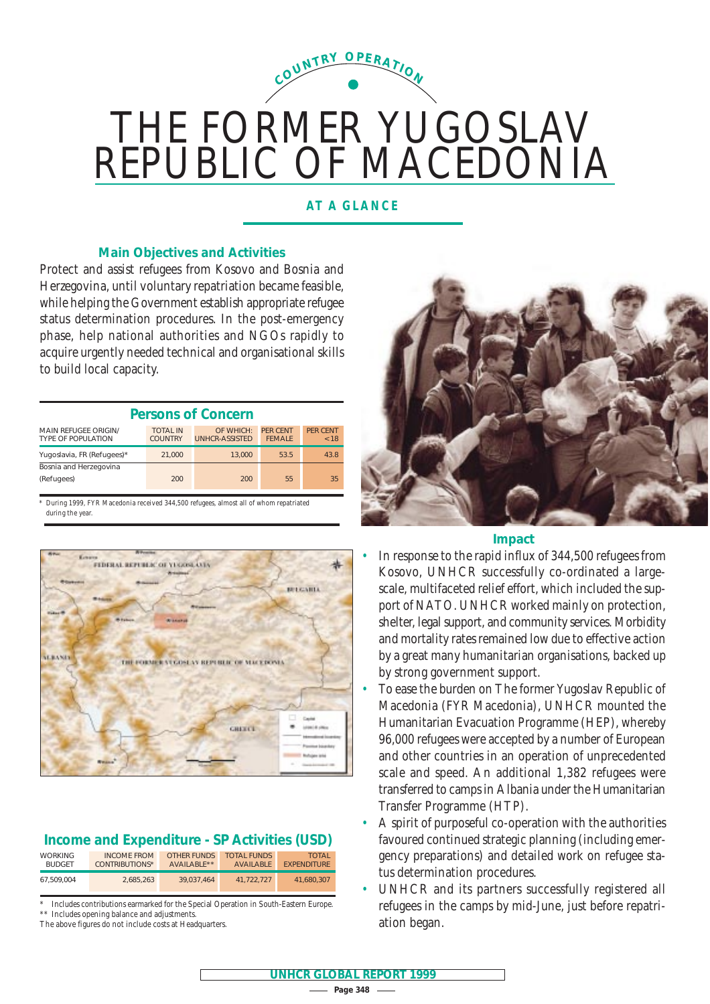

# THE FORMER YUGOSLAV REPUBLIC OF MACEDONIA

## **AT A GLANCE**

## **Main Objectives and Activities**

Protect and assist refugees from Kosovo and Bosnia and Herzegovina, until voluntary repatriation became feasible, while helping the Government establish appropriate refugee status determination procedures. In the post-emergency phase, help national authorities and NGOs rapidly to acquire urgently needed technical and organisational skills to build local capacity.

| <b>Persons of Concern</b>                                |                                   |                                    |                                  |                         |  |  |  |  |  |
|----------------------------------------------------------|-----------------------------------|------------------------------------|----------------------------------|-------------------------|--|--|--|--|--|
| <b>MAIN REFUGEE ORIGIN/</b><br><b>TYPE OF POPULATION</b> | <b>TOTAL IN</b><br><b>COUNTRY</b> | OF WHICH:<br><b>UNHCR-ASSISTED</b> | <b>PFR CENT</b><br><b>FFMALF</b> | <b>PFR CENT</b><br>< 18 |  |  |  |  |  |
| Yugoslavia, FR (Refugees)*                               | 21,000                            | 13,000                             | 53.5                             | 43.8                    |  |  |  |  |  |
| Bosnia and Herzegovina                                   |                                   |                                    |                                  |                         |  |  |  |  |  |
| (Refugees)                                               | 200                               | 200                                | 55                               | 35                      |  |  |  |  |  |

\* During 1999, FYR Macedonia received 344,500 refugees, almost all of whom repatriated during the year



## **Income and Expenditure - SP Activities (USD)**

| <b>WORKING</b> | <b>INCOME FROM</b> | OTHER FUNDS             | <b>TOTAL FUNDS</b> | <b>TOTAL</b>       |
|----------------|--------------------|-------------------------|--------------------|--------------------|
| <b>BUDGET</b>  | CONTRIBUTIONS*     | AVAILABLE <sup>**</sup> | <b>AVAILABLE</b>   | <b>FXPENDITURE</b> |
| 67.509.004     | 2.685.263          | 39.037.464              | 41.722.727         | 41.680.307         |

Includes contributions earmarked for the Special Operation in South-Eastern Europe. Includes opening balance and adjustments.

The above figures do not include costs at Headquarters.



#### **Impact**

- In response to the rapid influx of 344,500 refugees from Kosovo, UNHCR successfully co-ordinated a largescale, multifaceted relief effort, which included the support of NATO. UNHCR worked mainly on protection, shelter, legal support, and community services. Morbidity and mortality rates remained low due to effective action by a great many humanitarian organisations, backed up by strong government support.
- To ease the burden on The former Yugoslav Republic of Macedonia (FYR Macedonia), UNHCR mounted the Humanitarian Evacuation Programme (HEP), whereby 96,000 refugees were accepted by a number of European and other countries in an operation of unprecedented scale and speed. An additional 1,382 refugees were transferred to camps in Albania under the Humanitarian Transfer Programme (HTP).
- A spirit of purposeful co-operation with the authorities favoured continued strategic planning (including emergency preparations) and detailed work on refugee status determination procedures.
- UNHCR and its partners successfully registered all refugees in the camps by mid-June, just before repatriation began.

 $-$  Page 348  $-$ **UNHCR GLOBAL REPORT 1999**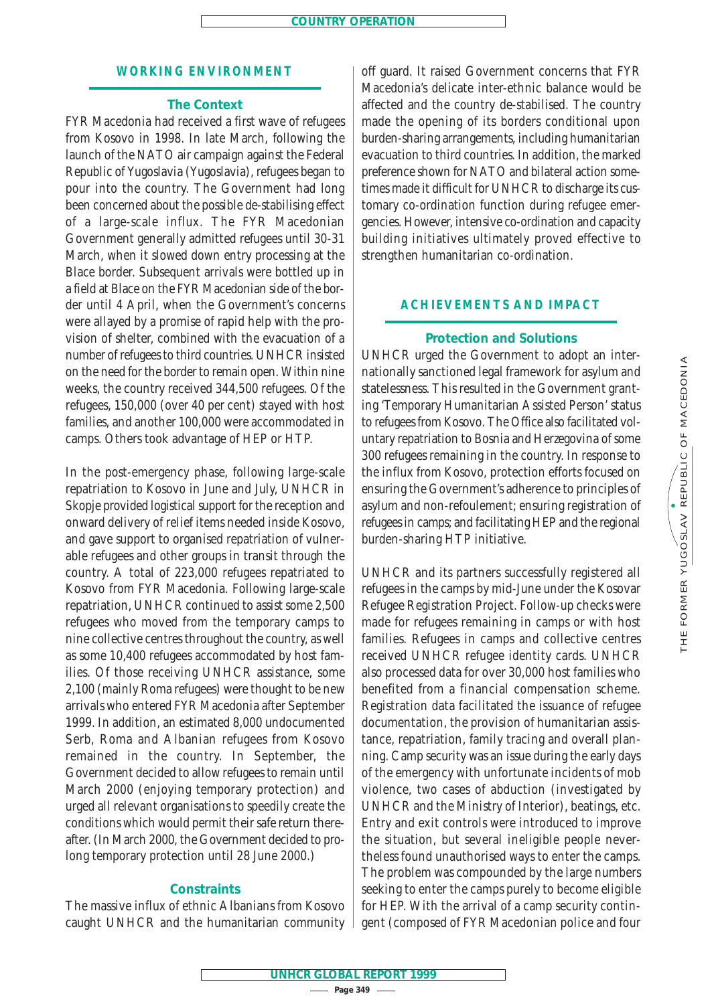#### **WORKING ENVIRONMENT**

#### **The Context**

FYR Macedonia had received a first wave of refugees from Kosovo in 1998. In late March, following the launch of the NATO air campaign against the Federal Republic of Yugoslavia (Yugoslavia), refugees began to pour into the country. The Government had long been concerned about the possible de-stabilising effect of a large-scale influx. The FYR Macedonian Government generally admitted refugees until 30-31 March, when it slowed down entry processing at the Blace border. Subsequent arrivals were bottled up in a field at Blace on the FYR Macedonian side of the border until 4 April, when the Government's concerns were allayed by a promise of rapid help with the provision of shelter, combined with the evacuation of a number of refugees to third countries. UNHCR insisted on the need for the border to remain open. Within nine weeks, the country received 344,500 refugees. Of the refugees, 150,000 (over 40 per cent) stayed with host families, and another 100,000 were accommodated in camps. Others took advantage of HEP or HTP.

In the post-emergency phase, following large-scale repatriation to Kosovo in June and July, UNHCR in Skopje provided logistical support for the reception and onward delivery of relief items needed inside Kosovo, and gave support to organised repatriation of vulnerable refugees and other groups in transit through the country. A total of 223,000 refugees repatriated to Kosovo from FYR Macedonia. Following large-scale repatriation, UNHCR continued to assist some 2,500 refugees who moved from the temporary camps to nine collective centres throughout the country, as well as some 10,400 refugees accommodated by host families. Of those receiving UNHCR assistance, some 2,100 (mainly Roma refugees) were thought to be new arrivals who entered FYR Macedonia after September 1999. In addition, an estimated 8,000 undocumented Serb, Roma and Albanian refugees from Kosovo remained in the country. In September, the Government decided to allow refugees to remain until March 2000 (enjoying temporary protection) and urged all relevant organisations to speedily create the conditions which would permit their safe return thereafter. (In March 2000, the Government decided to prolong temporary protection until 28 June 2000.)

## **Constraints**

The massive influx of ethnic Albanians from Kosovo caught UNHCR and the humanitarian community off guard. It raised Government concerns that FYR Macedonia's delicate inter-ethnic balance would be affected and the country de-stabilised. The country made the opening of its borders conditional upon burden-sharing arrangements, including humanitarian evacuation to third countries. In addition, the marked preference shown for NATO and bilateral action sometimes made it difficult for UNHCR to discharge its customary co-ordination function during refugee emergencies. However, intensive co-ordination and capacity building initiatives ultimately proved effective to strengthen humanitarian co-ordination.

### **ACHIEVEMENTS AND IMPACT**

#### **Protection and Solutions**

UNHCR urged the Government to adopt an internationally sanctioned legal framework for asylum and statelessness. This resulted in the Government granting 'Temporary Humanitarian Assisted Person' status to refugees from Kosovo. The Office also facilitated voluntary repatriation to Bosnia and Herzegovina of some 300 refugees remaining in the country. In response to the influx from Kosovo, protection efforts focused on ensuring the Government's adherence to principles of asylum and non-refoulement; ensuring registration of refugees in camps; and facilitating HEP and the regional burden-sharing HTP initiative.

UNHCR and its partners successfully registered all refugees in the camps by mid-June under the Kosovar Refugee Registration Project. Follow-up checks were made for refugees remaining in camps or with host families. Refugees in camps and collective centres received UNHCR refugee identity cards. UNHCR also processed data for over 30,000 host families who benefited from a financial compensation scheme. Registration data facilitated the issuance of refugee documentation, the provision of humanitarian assistance, repatriation, family tracing and overall planning. Camp security was an issue during the early days of the emergency with unfortunate incidents of mob violence, two cases of abduction (investigated by UNHCR and the Ministry of Interior), beatings, etc. Entry and exit controls were introduced to improve the situation, but several ineligible people nevertheless found unauthorised ways to enter the camps. The problem was compounded by the large numbers seeking to enter the camps purely to become eligible for HEP. With the arrival of a camp security contingent (composed of FYR Macedonian police and four

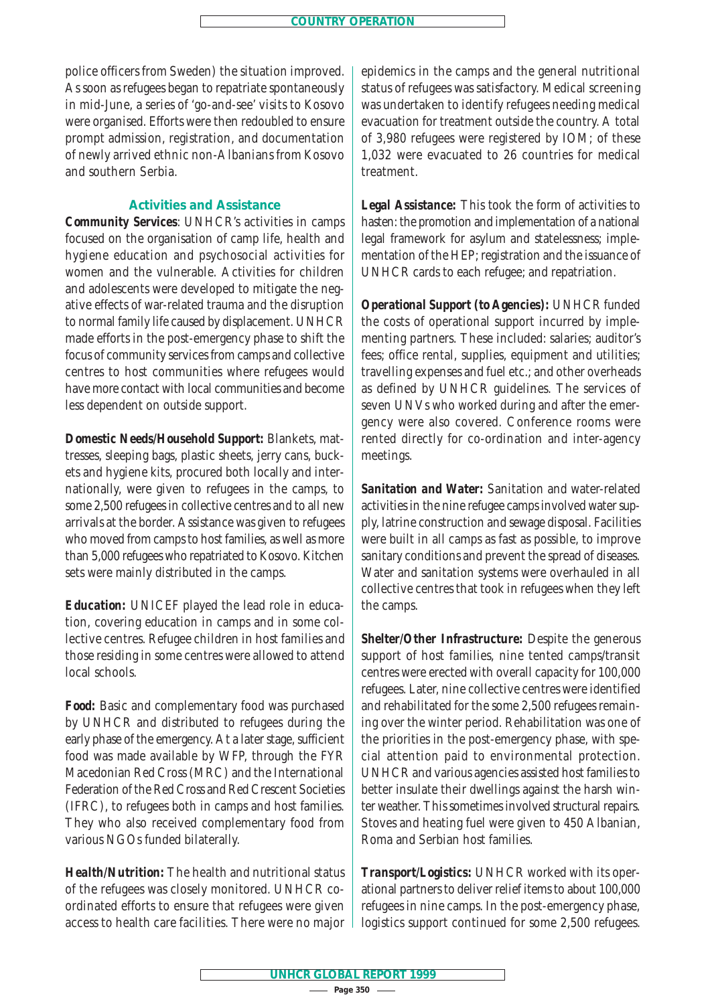police officers from Sweden) the situation improved. As soon as refugees began to repatriate spontaneously in mid-June, a series of 'go-and-see' visits to Kosovo were organised. Efforts were then redoubled to ensure prompt admission, registration, and documentation of newly arrived ethnic non-Albanians from Kosovo and southern Serbia.

## **Activities and Assistance**

*Community Services*: UNHCR's activities in camps focused on the organisation of camp life, health and hygiene education and psychosocial activities for women and the vulnerable. Activities for children and adolescents were developed to mitigate the negative effects of war-related trauma and the disruption to normal family life caused by displacement. UNHCR made efforts in the post-emergency phase to shift the focus of community services from camps and collective centres to host communities where refugees would have more contact with local communities and become less dependent on outside support.

*Domestic Needs/Household Support:* Blankets, mattresses, sleeping bags, plastic sheets, jerry cans, buckets and hygiene kits, procured both locally and internationally, were given to refugees in the camps, to some 2,500 refugees in collective centres and to all new arrivals at the border. Assistance was given to refugees who moved from camps to host families, as well as more than 5,000 refugees who repatriated to Kosovo. Kitchen sets were mainly distributed in the camps.

*Education:* UNICEF played the lead role in education, covering education in camps and in some collective centres. Refugee children in host families and those residing in some centres were allowed to attend local schools.

*Food:* Basic and complementary food was purchased by UNHCR and distributed to refugees during the early phase of the emergency. At a later stage, sufficient food was made available by WFP, through the FYR Macedonian Red Cross (MRC) and the International Federation of the Red Cross and Red Crescent Societies (IFRC), to refugees both in camps and host families. They who also received complementary food from various NGOs funded bilaterally.

*Health/Nutrition:* The health and nutritional status of the refugees was closely monitored. UNHCR coordinated efforts to ensure that refugees were given access to health care facilities. There were no major epidemics in the camps and the general nutritional status of refugees was satisfactory. Medical screening was undertaken to identify refugees needing medical evacuation for treatment outside the country. A total of 3,980 refugees were registered by IOM; of these 1,032 were evacuated to 26 countries for medical treatment.

*Legal Assistance:* This took the form of activities to hasten: the promotion and implementation of a national legal framework for asylum and statelessness; implementation of the HEP; registration and the issuance of UNHCR cards to each refugee; and repatriation.

*Operational Support (to Agencies):* UNHCR funded the costs of operational support incurred by implementing partners. These included: salaries; auditor's fees; office rental, supplies, equipment and utilities; travelling expenses and fuel etc.; and other overheads as defined by UNHCR guidelines. The services of seven UNVs who worked during and after the emergency were also covered. Conference rooms were rented directly for co-ordination and inter-agency meetings.

*Sanitation and Water:* Sanitation and water-related activities in the nine refugee camps involved water supply, latrine construction and sewage disposal. Facilities were built in all camps as fast as possible, to improve sanitary conditions and prevent the spread of diseases. Water and sanitation systems were overhauled in all collective centres that took in refugees when they left the camps.

*Shelter/Other Infrastructure:* Despite the generous support of host families, nine tented camps/transit centres were erected with overall capacity for 100,000 refugees. Later, nine collective centres were identified and rehabilitated for the some 2,500 refugees remaining over the winter period. Rehabilitation was one of the priorities in the post-emergency phase, with special attention paid to environmental protection. UNHCR and various agencies assisted host families to better insulate their dwellings against the harsh winter weather. This sometimes involved structural repairs. Stoves and heating fuel were given to 450 Albanian, Roma and Serbian host families.

*Transport/Logistics:* UNHCR worked with its operational partners to deliver relief items to about 100,000 refugees in nine camps. In the post-emergency phase, logistics support continued for some 2,500 refugees.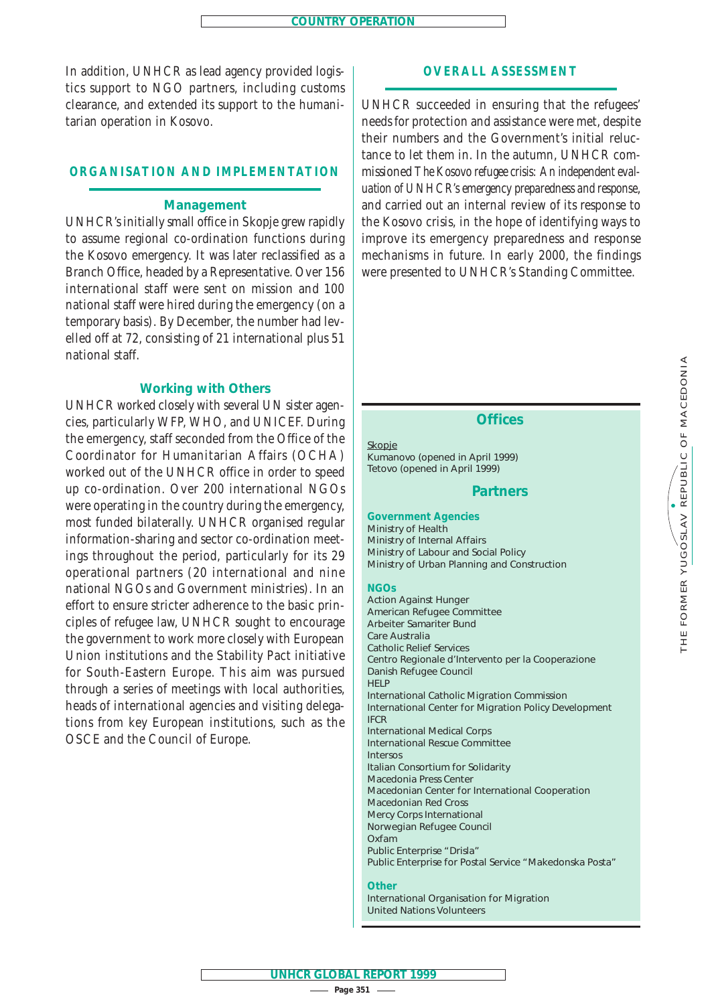In addition, UNHCR as lead agency provided logistics support to NGO partners, including customs clearance, and extended its support to the humanitarian operation in Kosovo.

## **ORGANISATION AND IMPLEMENTATION**

#### **Management**

UNHCR's initially small office in Skopje grew rapidly to assume regional co-ordination functions during the Kosovo emergency. It was later reclassified as a Branch Office, headed by a Representative. Over 156 international staff were sent on mission and 100 national staff were hired during the emergency (on a temporary basis). By December, the number had levelled off at 72, consisting of 21 international plus 51 national staff.

#### **Working with Others**

UNHCR worked closely with several UN sister agencies, particularly WFP, WHO, and UNICEF. During the emergency, staff seconded from the Office of the Coordinator for Humanitarian Affairs (OCHA) worked out of the UNHCR office in order to speed up co-ordination. Over 200 international NGOs were operating in the country during the emergency, most funded bilaterally. UNHCR organised regular information-sharing and sector co-ordination meetings throughout the period, particularly for its 29 operational partners (20 international and nine national NGOs and Government ministries). In an effort to ensure stricter adherence to the basic principles of refugee law, UNHCR sought to encourage the government to work more closely with European Union institutions and the Stability Pact initiative for South-Eastern Europe. This aim was pursued through a series of meetings with local authorities, heads of international agencies and visiting delegations from key European institutions, such as the OSCE and the Council of Europe.

## **OVERALL ASSESSMENT**

UNHCR succeeded in ensuring that the refugees' needs for protection and assistance were met, despite their numbers and the Government's initial reluctance to let them in. In the autumn, UNHCR commissioned *The Kosovo refugee crisis: An independent evaluation of UNHCR's emergency preparedness and response*, and carried out an internal review of its response to the Kosovo crisis, in the hope of identifying ways to improve its emergency preparedness and response mechanisms in future. In early 2000, the findings were presented to UNHCR's Standing Committee.

#### **Offices**

Skopje Kumanovo (opened in April 1999) Tetovo (opened in April 1999)

#### **Partners**

**Government Agencies** Ministry of Health Ministry of Internal Affairs Ministry of Labour and Social Policy Ministry of Urban Planning and Construction

#### **NGOs**

Action Against Hunger American Refugee Committee *Arbeiter Samariter Bund* Care Australia Catholic Relief Services *Centro Regionale d'Intervento per la Cooperazione* Danish Refugee Council HELP International Catholic Migration Commission International Center for Migration Policy Development IFCR International Medical Corps International Rescue Committee *Intersos* Italian Consortium for Solidarity Macedonia Press Center Macedonian Center for International Cooperation Macedonian Red Cross Mercy Corps International Norwegian Refugee Council Oxfam Public Enterprise "*Drisla*" Public Enterprise for Postal Service "*Makedonska Posta"*

#### **Other**

International Organisation for Migration United Nations Volunteers